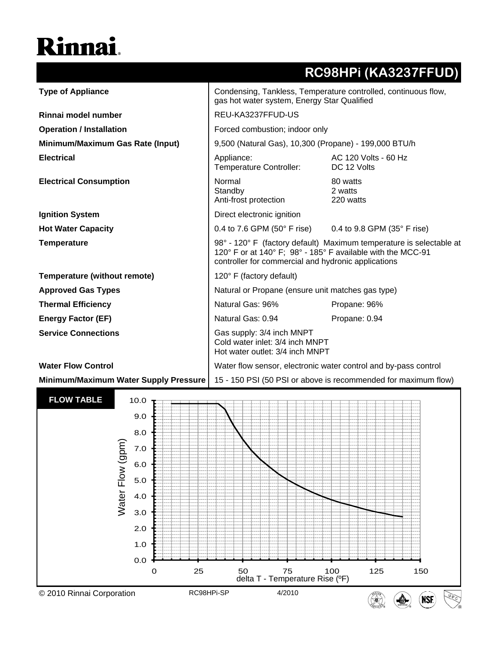## Rinnai.

|                                              |                                                                                                                                                                                           | RC98HPi (KA3237FFUD)                |  |
|----------------------------------------------|-------------------------------------------------------------------------------------------------------------------------------------------------------------------------------------------|-------------------------------------|--|
| <b>Type of Appliance</b>                     | Condensing, Tankless, Temperature controlled, continuous flow,<br>gas hot water system, Energy Star Qualified                                                                             |                                     |  |
| Rinnai model number                          | REU-KA3237FFUD-US                                                                                                                                                                         |                                     |  |
| <b>Operation / Installation</b>              | Forced combustion; indoor only                                                                                                                                                            |                                     |  |
| Minimum/Maximum Gas Rate (Input)             | 9,500 (Natural Gas), 10,300 (Propane) - 199,000 BTU/h                                                                                                                                     |                                     |  |
| <b>Electrical</b>                            | Appliance:<br>Temperature Controller:                                                                                                                                                     | AC 120 Volts - 60 Hz<br>DC 12 Volts |  |
| <b>Electrical Consumption</b>                | Normal<br>Standby<br>Anti-frost protection                                                                                                                                                | 80 watts<br>2 watts<br>220 watts    |  |
| <b>Ignition System</b>                       | Direct electronic ignition                                                                                                                                                                |                                     |  |
| <b>Hot Water Capacity</b>                    | 0.4 to 7.6 GPM (50 $^{\circ}$ F rise) 0.4 to 9.8 GPM (35 $^{\circ}$ F rise)                                                                                                               |                                     |  |
| <b>Temperature</b>                           | 98° - 120° F (factory default) Maximum temperature is selectable at<br>120° F or at 140° F; 98° - 185° F available with the MCC-91<br>controller for commercial and hydronic applications |                                     |  |
| Temperature (without remote)                 | 120° F (factory default)                                                                                                                                                                  |                                     |  |
| <b>Approved Gas Types</b>                    | Natural or Propane (ensure unit matches gas type)                                                                                                                                         |                                     |  |
| <b>Thermal Efficiency</b>                    | Natural Gas: 96%                                                                                                                                                                          | Propane: 96%                        |  |
| <b>Energy Factor (EF)</b>                    | Natural Gas: 0.94                                                                                                                                                                         | Propane: 0.94                       |  |
| <b>Service Connections</b>                   | Gas supply: 3/4 inch MNPT<br>Cold water inlet: 3/4 inch MNPT<br>Hot water outlet: 3/4 inch MNPT                                                                                           |                                     |  |
| <b>Water Flow Control</b>                    | Water flow sensor, electronic water control and by-pass control                                                                                                                           |                                     |  |
| <b>Minimum/Maximum Water Supply Pressure</b> | 15 - 150 PSI (50 PSI or above is recommended for maximum flow)                                                                                                                            |                                     |  |